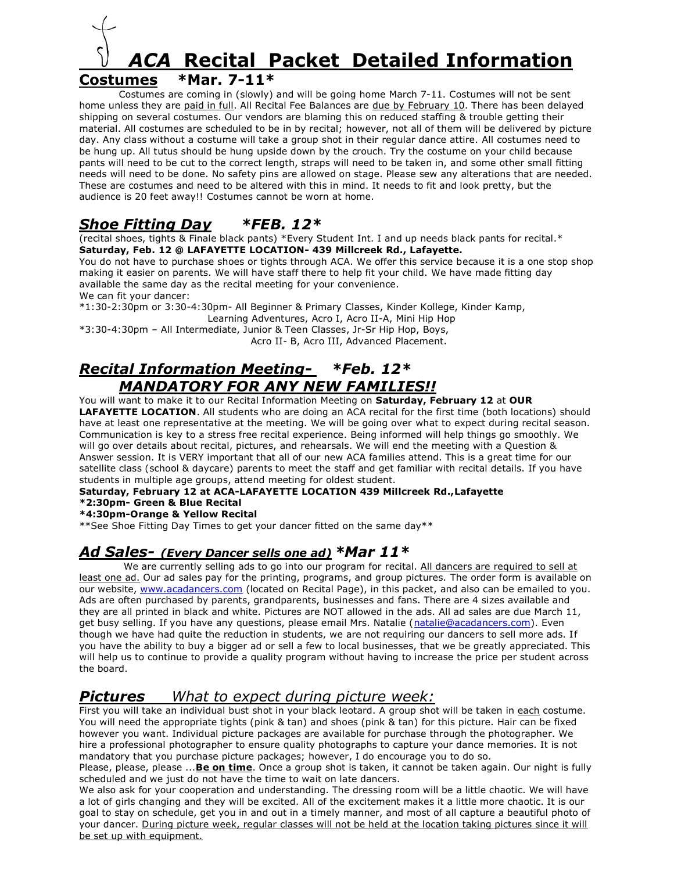

Costumes are coming in (slowly) and will be going home March 7-11. Costumes will not be sent home unless they are paid in full. All Recital Fee Balances are due by February 10. There has been delayed shipping on several costumes. Our vendors are blaming this on reduced staffing & trouble getting their material. All costumes are scheduled to be in by recital; however, not all of them will be delivered by picture day. Any class without a costume will take a group shot in their regular dance attire. All costumes need to be hung up. All tutus should be hung upside down by the crouch. Try the costume on your child because pants will need to be cut to the correct length, straps will need to be taken in, and some other small fitting needs will need to be done. No safety pins are allowed on stage. Please sew any alterations that are needed. These are costumes and need to be altered with this in mind. It needs to fit and look pretty, but the audience is 20 feet away!! Costumes cannot be worn at home.

## *Shoe Fitting Day \*FEB. 12\**

(recital shoes, tights & Finale black pants) \*Every Student Int. I and up needs black pants for recital.\* **Saturday, Feb. 12 @ LAFAYETTE LOCATION- 439 Millcreek Rd., Lafayette.**

You do not have to purchase shoes or tights through ACA. We offer this service because it is a one stop shop making it easier on parents. We will have staff there to help fit your child. We have made fitting day available the same day as the recital meeting for your convenience.

We can fit your dancer:

\*1:30-2:30pm or 3:30-4:30pm- All Beginner & Primary Classes, Kinder Kollege, Kinder Kamp, Learning Adventures, Acro I, Acro II-A, Mini Hip Hop

\*3:30-4:30pm – All Intermediate, Junior & Teen Classes, Jr-Sr Hip Hop, Boys, Acro II- B, Acro III, Advanced Placement.

## *Recital Information Meeting- \*Feb. 12\* MANDATORY FOR ANY NEW FAMILIES!!*

You will want to make it to our Recital Information Meeting on **Saturday, February 12** at **OUR LAFAYETTE LOCATION**. All students who are doing an ACA recital for the first time (both locations) should have at least one representative at the meeting. We will be going over what to expect during recital season. Communication is key to a stress free recital experience. Being informed will help things go smoothly. We will go over details about recital, pictures, and rehearsals. We will end the meeting with a Question & Answer session. It is VERY important that all of our new ACA families attend. This is a great time for our satellite class (school & daycare) parents to meet the staff and get familiar with recital details. If you have students in multiple age groups, attend meeting for oldest student.

**Saturday, February 12 at ACA-LAFAYETTE LOCATION 439 Millcreek Rd.,Lafayette**

#### **\*2:30pm- Green & Blue Recital**

**\*4:30pm-Orange & Yellow Recital**

\*\*See Shoe Fitting Day Times to get your dancer fitted on the same day\*\*

#### *Ad Sales- (Every Dancer sells one ad) \*Mar 11\**

We are currently selling ads to go into our program for recital. All dancers are required to sell at least one ad. Our ad sales pay for the printing, programs, and group pictures. The order form is available on our website, [www.acadancers.com](http://www.acadancers.com/) (located on Recital Page), in this packet, and also can be emailed to you. Ads are often purchased by parents, grandparents, businesses and fans. There are 4 sizes available and they are all printed in black and white. Pictures are NOT allowed in the ads. All ad sales are due March 11, get busy selling. If you have any questions, please email Mrs. Natalie [\(natalie@acadancers.com\)](mailto:natalie@acadancers.com). Even though we have had quite the reduction in students, we are not requiring our dancers to sell more ads. If you have the ability to buy a bigger ad or sell a few to local businesses, that we be greatly appreciated. This will help us to continue to provide a quality program without having to increase the price per student across the board.

#### *Pictures What to expect during picture week:*

First you will take an individual bust shot in your black leotard. A group shot will be taken in each costume. You will need the appropriate tights (pink & tan) and shoes (pink & tan) for this picture. Hair can be fixed however you want. Individual picture packages are available for purchase through the photographer. We hire a professional photographer to ensure quality photographs to capture your dance memories. It is not mandatory that you purchase picture packages; however, I do encourage you to do so.

Please, please, please ...**Be on time**. Once a group shot is taken, it cannot be taken again. Our night is fully scheduled and we just do not have the time to wait on late dancers.

We also ask for your cooperation and understanding. The dressing room will be a little chaotic. We will have a lot of girls changing and they will be excited. All of the excitement makes it a little more chaotic. It is our goal to stay on schedule, get you in and out in a timely manner, and most of all capture a beautiful photo of your dancer. During picture week, regular classes will not be held at the location taking pictures since it will be set up with equipment.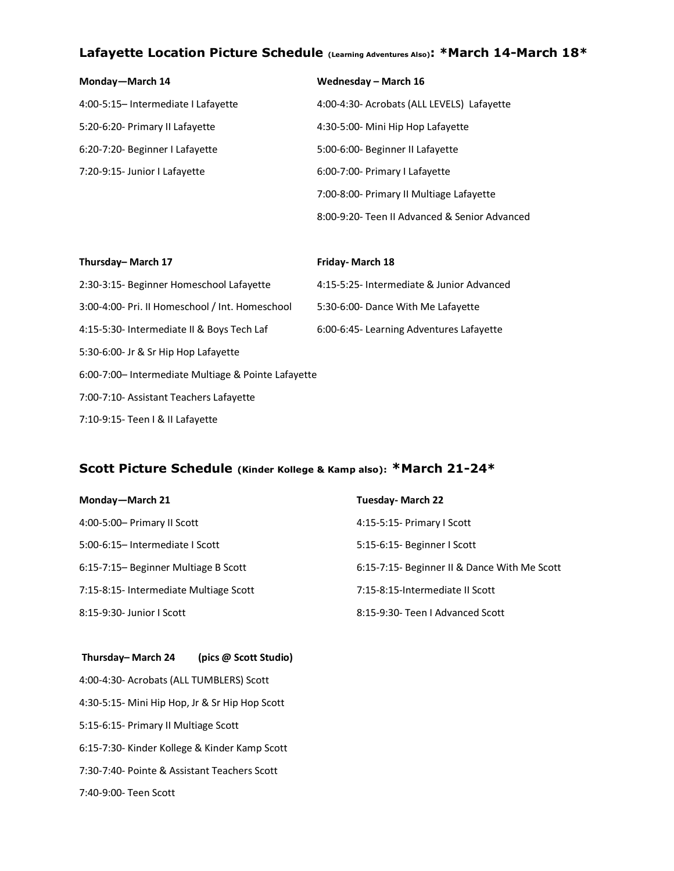## **Lafayette Location Picture Schedule (Learning Adventures Also): \*March 14-March 18\***

| Monday-March 14                     | Wednesday - March 16                          |
|-------------------------------------|-----------------------------------------------|
| 4:00-5:15- Intermediate I Lafayette | 4:00-4:30- Acrobats (ALL LEVELS) Lafayette    |
| 5:20-6:20- Primary II Lafayette     | 4:30-5:00- Mini Hip Hop Lafayette             |
| 6:20-7:20- Beginner I Lafayette     | 5:00-6:00- Beginner II Lafayette              |
| 7:20-9:15- Junior I Lafayette       | 6:00-7:00- Primary I Lafayette                |
|                                     | 7:00-8:00- Primary II Multiage Lafayette      |
|                                     | 8:00-9:20- Teen II Advanced & Senior Advanced |

| Thursday-March 17                                   | <b>Friday-March 18</b>                    |  |  |  |
|-----------------------------------------------------|-------------------------------------------|--|--|--|
| 2:30-3:15- Beginner Homeschool Lafayette            | 4:15-5:25- Intermediate & Junior Advanced |  |  |  |
| 3:00-4:00- Pri. II Homeschool / Int. Homeschool     | 5:30-6:00- Dance With Me Lafayette        |  |  |  |
| 4:15-5:30- Intermediate II & Boys Tech Laf          | 6:00-6:45- Learning Adventures Lafayette  |  |  |  |
| 5:30-6:00- Jr & Sr Hip Hop Lafayette                |                                           |  |  |  |
| 6:00-7:00- Intermediate Multiage & Pointe Lafayette |                                           |  |  |  |
| 7:00-7:10- Assistant Teachers Lafayette             |                                           |  |  |  |
| 7:10-9:15- Teen   & II Lafayette                    |                                           |  |  |  |

## **Scott Picture Schedule (Kinder Kollege & Kamp also): \*March 21-24\***

| Monday-March 21                        | <b>Tuesday-March 22</b>                      |  |  |
|----------------------------------------|----------------------------------------------|--|--|
| 4:00-5:00- Primary II Scott            | 4:15-5:15- Primary I Scott                   |  |  |
| 5:00-6:15- Intermediate I Scott        | 5:15-6:15- Beginner I Scott                  |  |  |
| 6:15-7:15- Beginner Multiage B Scott   | 6:15-7:15- Beginner II & Dance With Me Scott |  |  |
| 7:15-8:15- Intermediate Multiage Scott | 7:15-8:15-Intermediate II Scott              |  |  |
| 8:15-9:30- Junior I Scott              | 8:15-9:30- Teen I Advanced Scott             |  |  |

| Thursday- March 24                             | (pics @ Scott Studio) |  |  |  |
|------------------------------------------------|-----------------------|--|--|--|
| 4:00-4:30- Acrobats (ALL TUMBLERS) Scott       |                       |  |  |  |
| 4:30-5:15- Mini Hip Hop, Jr & Sr Hip Hop Scott |                       |  |  |  |
| 5:15-6:15- Primary II Multiage Scott           |                       |  |  |  |
| 6:15-7:30- Kinder Kollege & Kinder Kamp Scott  |                       |  |  |  |
| 7:30-7:40- Pointe & Assistant Teachers Scott   |                       |  |  |  |
| 7:40-9:00- Teen Scott                          |                       |  |  |  |
|                                                |                       |  |  |  |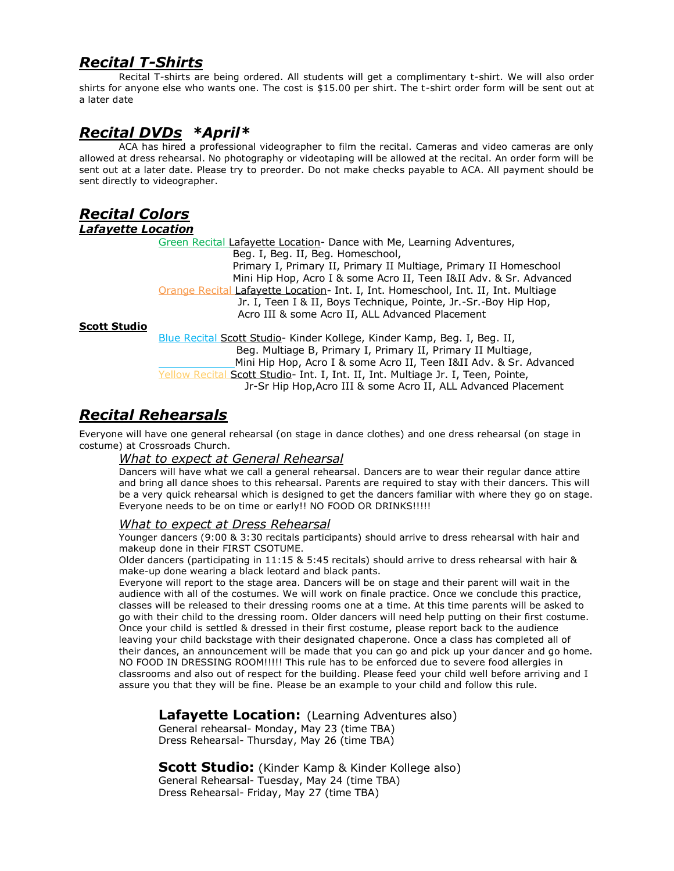## *Recital T-Shirts*

Recital T-shirts are being ordered. All students will get a complimentary t-shirt. We will also order shirts for anyone else who wants one. The cost is \$15.00 per shirt. The t-shirt order form will be sent out at a later date

### *Recital DVDs \*April\**

ACA has hired a professional videographer to film the recital. Cameras and video cameras are only allowed at dress rehearsal. No photography or videotaping will be allowed at the recital. An order form will be sent out at a later date. Please try to preorder. Do not make checks payable to ACA. All payment should be sent directly to videographer.

## *Recital Colors*

#### *Lafayette Location*

Green Recital Lafayette Location- Dance with Me, Learning Adventures, Beg. I, Beg. II, Beg. Homeschool, Primary I, Primary II, Primary II Multiage, Primary II Homeschool Mini Hip Hop, Acro I & some Acro II, Teen I&II Adv. & Sr. Advanced Orange Recital Lafayette Location- Int. I, Int. Homeschool, Int. II, Int. Multiage Jr. I, Teen I & II, Boys Technique, Pointe, Jr.-Sr.-Boy Hip Hop, Acro III & some Acro II, ALL Advanced Placement

#### **Scott Studio**

Blue Recital Scott Studio- Kinder Kollege, Kinder Kamp, Beg. I, Beg. II, Beg. Multiage B, Primary I, Primary II, Primary II Multiage, Mini Hip Hop, Acro I & some Acro II, Teen I&II Adv. & Sr. Advanced Yellow Recital Scott Studio- Int. I, Int. II, Int. Multiage Jr. I, Teen, Pointe, Jr-Sr Hip Hop,Acro III & some Acro II, ALL Advanced Placement

### *Recital Rehearsals*

Everyone will have one general rehearsal (on stage in dance clothes) and one dress rehearsal (on stage in costume) at Crossroads Church.

#### *What to expect at General Rehearsal*

Dancers will have what we call a general rehearsal. Dancers are to wear their regular dance attire and bring all dance shoes to this rehearsal. Parents are required to stay with their dancers. This will be a very quick rehearsal which is designed to get the dancers familiar with where they go on stage. Everyone needs to be on time or early!! NO FOOD OR DRINKS!!!!!

#### *What to expect at Dress Rehearsal*

Younger dancers (9:00 & 3:30 recitals participants) should arrive to dress rehearsal with hair and makeup done in their FIRST CSOTUME.

Older dancers (participating in 11:15 & 5:45 recitals) should arrive to dress rehearsal with hair & make-up done wearing a black leotard and black pants.

Everyone will report to the stage area. Dancers will be on stage and their parent will wait in the audience with all of the costumes. We will work on finale practice. Once we conclude this practice, classes will be released to their dressing rooms one at a time. At this time parents will be asked to go with their child to the dressing room. Older dancers will need help putting on their first costume. Once your child is settled & dressed in their first costume, please report back to the audience leaving your child backstage with their designated chaperone. Once a class has completed all of their dances, an announcement will be made that you can go and pick up your dancer and go home. NO FOOD IN DRESSING ROOM!!!!! This rule has to be enforced due to severe food allergies in classrooms and also out of respect for the building. Please feed your child well before arriving and I assure you that they will be fine. Please be an example to your child and follow this rule.

#### **Lafayette Location:** (Learning Adventures also)

General rehearsal- Monday, May 23 (time TBA) Dress Rehearsal- Thursday, May 26 (time TBA)

**Scott Studio:** (Kinder Kamp & Kinder Kollege also) General Rehearsal- Tuesday, May 24 (time TBA) Dress Rehearsal- Friday, May 27 (time TBA)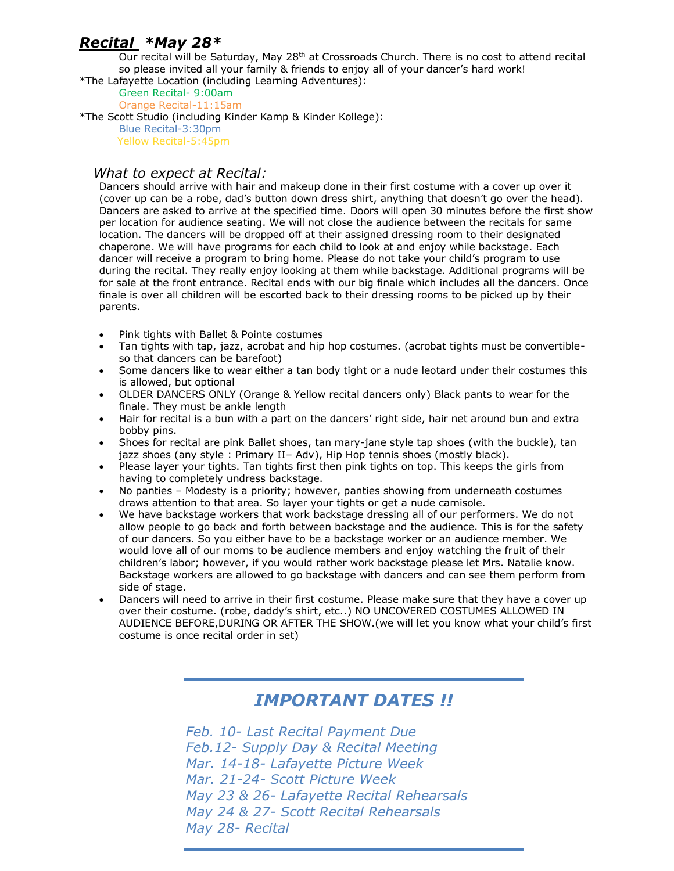### *Recital \*May 28\**

Our recital will be Saturday, May 28<sup>th</sup> at Crossroads Church. There is no cost to attend recital so please invited all your family & friends to enjoy all of your dancer's hard work! \*The Lafayette Location (including Learning Adventures):

Green Recital- 9:00am

Orange Recital-11:15am

\*The Scott Studio (including Kinder Kamp & Kinder Kollege): Blue Recital-3:30pm Yellow Recital-5:45pm

#### *What to expect at Recital:*

Dancers should arrive with hair and makeup done in their first costume with a cover up over it (cover up can be a robe, dad's button down dress shirt, anything that doesn't go over the head). Dancers are asked to arrive at the specified time. Doors will open 30 minutes before the first show per location for audience seating. We will not close the audience between the recitals for same location. The dancers will be dropped off at their assigned dressing room to their designated chaperone. We will have programs for each child to look at and enjoy while backstage. Each dancer will receive a program to bring home. Please do not take your child's program to use during the recital. They really enjoy looking at them while backstage. Additional programs will be for sale at the front entrance. Recital ends with our big finale which includes all the dancers. Once finale is over all children will be escorted back to their dressing rooms to be picked up by their parents.

- Pink tights with Ballet & Pointe costumes
- Tan tights with tap, jazz, acrobat and hip hop costumes. (acrobat tights must be convertibleso that dancers can be barefoot)
- Some dancers like to wear either a tan body tight or a nude leotard under their costumes this is allowed, but optional
- OLDER DANCERS ONLY (Orange & Yellow recital dancers only) Black pants to wear for the finale. They must be ankle length
- Hair for recital is a bun with a part on the dancers' right side, hair net around bun and extra bobby pins.
- Shoes for recital are pink Ballet shoes, tan mary-jane style tap shoes (with the buckle), tan jazz shoes (any style : Primary II– Adv), Hip Hop tennis shoes (mostly black).
- Please layer your tights. Tan tights first then pink tights on top. This keeps the girls from having to completely undress backstage.
- No panties Modesty is a priority; however, panties showing from underneath costumes draws attention to that area. So layer your tights or get a nude camisole.
- We have backstage workers that work backstage dressing all of our performers. We do not allow people to go back and forth between backstage and the audience. This is for the safety of our dancers. So you either have to be a backstage worker or an audience member. We would love all of our moms to be audience members and enjoy watching the fruit of their children's labor; however, if you would rather work backstage please let Mrs. Natalie know. Backstage workers are allowed to go backstage with dancers and can see them perform from side of stage.
- Dancers will need to arrive in their first costume. Please make sure that they have a cover up over their costume. (robe, daddy's shirt, etc..) NO UNCOVERED COSTUMES ALLOWED IN AUDIENCE BEFORE,DURING OR AFTER THE SHOW.(we will let you know what your child's first costume is once recital order in set)

## *IMPORTANT DATES !!*

*Feb. 10- Last Recital Payment Due Feb.12- Supply Day & Recital Meeting Mar. 14-18- Lafayette Picture Week Mar. 21-24- Scott Picture Week May 23 & 26- Lafayette Recital Rehearsals May 24 & 27- Scott Recital Rehearsals May 28- Recital*